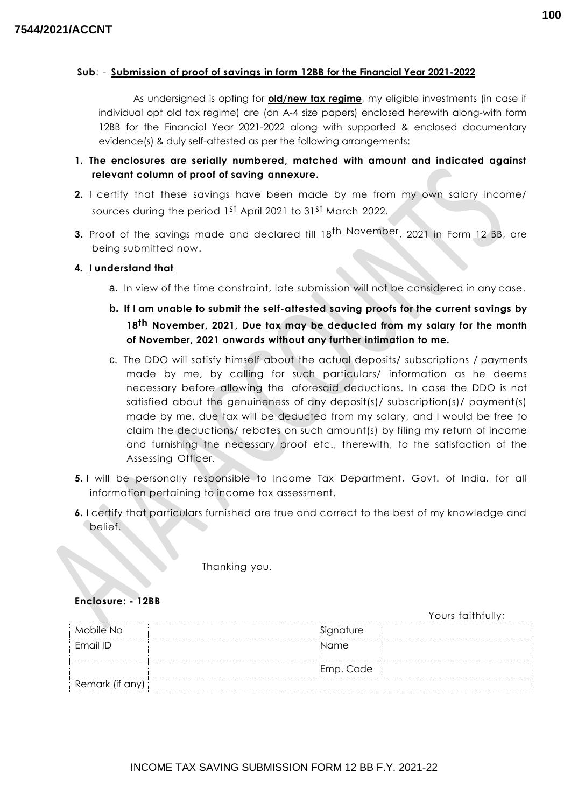### **Sub**: - **Submission of proof of savings in form 12BB for the Financial Year 2021-2022**

As undersigned is opting for **old/new tax regime**, my eligible investments (in case if individual opt old tax regime) are (on A-4 size papers) enclosed herewith along-with form 12BB for the Financial Year 2021-2022 along with supported & enclosed documentary evidence(s) & duly self-attested as per the following arrangements:

- **1. The enclosures are serially numbered, matched with amount and indicated against relevant column of proof of saving annexure.**
- **2.** I certify that these savings have been made by me from my own salary income/ sources during the period 1<sup>st</sup> April 2021 to 31<sup>st</sup> March 2022.
- **3.** Proof of the savings made and declared till 18<sup>th November, 2021 in Form 12 BB, are</sup> being submitted now.

### **4. I understand that**

- a. In view of the time constraint, late submission will not be considered in any case.
- **b. If I am unable to submit the self-attested saving proofs for the current savings by 18 th November, 2021, Due tax may be deducted from my salary for the month of November, 2021 onwards without any further intimation to me.**
- c. The DDO will satisfy himself about the actual deposits/ subscriptions / payments made by me, by calling for such particulars/ information as he deems necessary before allowing the aforesaid deductions. In case the DDO is not satisfied about the genuineness of any deposit(s)/ subscription(s)/ payment(s) made by me, due tax will be deducted from my salary, and I would be free to claim the deductions/ rebates on such amount(s) by filing my return of income and furnishing the necessary proof etc., therewith, to the satisfaction of the Assessing Officer.
- **5.** I will be personally responsible to Income Tax Department, Govt. of India, for all information pertaining to income tax assessment.
- **6.** I certify that particulars furnished are true and correct to the best of my knowledge and belief.

Thanking you.

### **Enclosure: - 12BB**

Yours faithfully;

| Mobile No       | Signature |
|-----------------|-----------|
| Email ID        | Name      |
|                 |           |
|                 | Emp. Code |
| Remark (if any) |           |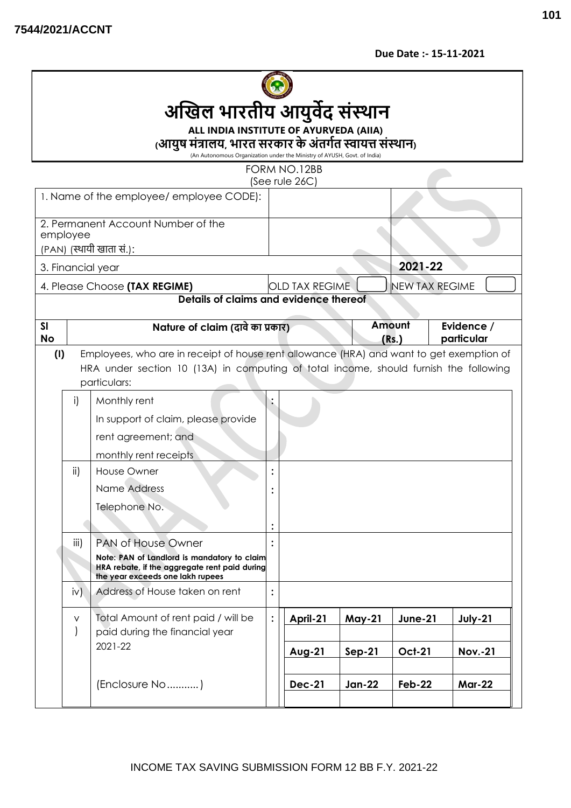**Due Date :- 15-11-2021**



# **ALL INDIA INSTITUTE OF AYURVEDA (AIIA)**

**(आयुष मंत्रालय, भारत सरकार केअंतर्गत स्वायत्त संस्थान)**

(An Autonomous Organization under the Ministry of AYUSH, Govt. of India)

FORM NO.12BB

| (See rule 26C)                           |                                                                                                                                                                                                          |                                                                         |                |                       |               |                       |                          |  |
|------------------------------------------|----------------------------------------------------------------------------------------------------------------------------------------------------------------------------------------------------------|-------------------------------------------------------------------------|----------------|-----------------------|---------------|-----------------------|--------------------------|--|
| 1. Name of the employee/ employee CODE): |                                                                                                                                                                                                          |                                                                         |                |                       |               |                       |                          |  |
|                                          |                                                                                                                                                                                                          | 2. Permanent Account Number of the                                      |                |                       |               |                       |                          |  |
| employee<br>(PAN) (स्थायी खाता सं.):     |                                                                                                                                                                                                          |                                                                         |                |                       |               |                       |                          |  |
| 3. Financial year                        |                                                                                                                                                                                                          |                                                                         |                |                       |               | 2021-22               |                          |  |
|                                          |                                                                                                                                                                                                          |                                                                         |                |                       |               |                       |                          |  |
|                                          |                                                                                                                                                                                                          | 4. Please Choose (TAX REGIME)<br>Details of claims and evidence thereof |                | <b>OLD TAX REGIME</b> |               | <b>NEW TAX REGIME</b> |                          |  |
|                                          |                                                                                                                                                                                                          |                                                                         |                |                       |               |                       |                          |  |
| SI<br><b>No</b>                          |                                                                                                                                                                                                          | Nature of claim (दावे का प्रकार)                                        |                |                       |               | Amount<br>(Rs.)       | Evidence /<br>particular |  |
|                                          | Employees, who are in receipt of house rent allowance (HRA) and want to get exemption of<br>(1)<br>HRA under section 10 (13A) in computing of total income, should furnish the following<br>particulars: |                                                                         |                |                       |               |                       |                          |  |
|                                          | $\mathsf{i}$                                                                                                                                                                                             | Monthly rent                                                            |                |                       |               |                       |                          |  |
|                                          |                                                                                                                                                                                                          | In support of claim, please provide                                     |                |                       |               |                       |                          |  |
|                                          |                                                                                                                                                                                                          | rent agreement; and                                                     |                |                       |               |                       |                          |  |
|                                          |                                                                                                                                                                                                          | monthly rent receipts                                                   |                |                       |               |                       |                          |  |
|                                          | ii)                                                                                                                                                                                                      | <b>House Owner</b>                                                      |                |                       |               |                       |                          |  |
|                                          |                                                                                                                                                                                                          | Name Address                                                            |                |                       |               |                       |                          |  |
|                                          |                                                                                                                                                                                                          |                                                                         |                |                       |               |                       |                          |  |
|                                          |                                                                                                                                                                                                          | Telephone No.                                                           |                |                       |               |                       |                          |  |
|                                          |                                                                                                                                                                                                          |                                                                         |                |                       |               |                       |                          |  |
|                                          | <b>PAN of House Owner</b><br>iii)                                                                                                                                                                        |                                                                         |                |                       |               |                       |                          |  |
|                                          | Note: PAN of Landlord is mandatory to claim<br>HRA rebate, if the aggregate rent paid during<br>the year exceeds one lakh rupees                                                                         |                                                                         |                |                       |               |                       |                          |  |
|                                          | iv)                                                                                                                                                                                                      | Address of House taken on rent                                          | $\ddot{\cdot}$ |                       |               |                       |                          |  |
|                                          | $\sf V$                                                                                                                                                                                                  | Total Amount of rent paid / will be                                     | $\ddot{\cdot}$ | April-21              | <b>May-21</b> | <b>June-21</b>        | July-21                  |  |
|                                          | $\overline{)}$                                                                                                                                                                                           | paid during the financial year                                          |                |                       |               |                       |                          |  |
|                                          |                                                                                                                                                                                                          | 2021-22                                                                 |                | <b>Aug-21</b>         | $Sep-21$      | <b>Oct-21</b>         | <b>Nov.-21</b>           |  |
|                                          |                                                                                                                                                                                                          |                                                                         |                |                       |               |                       |                          |  |
|                                          |                                                                                                                                                                                                          | (Enclosure No)                                                          |                | <b>Dec-21</b>         | <b>Jan-22</b> | <b>Feb-22</b>         | <b>Mar-22</b>            |  |
|                                          |                                                                                                                                                                                                          |                                                                         |                |                       |               |                       |                          |  |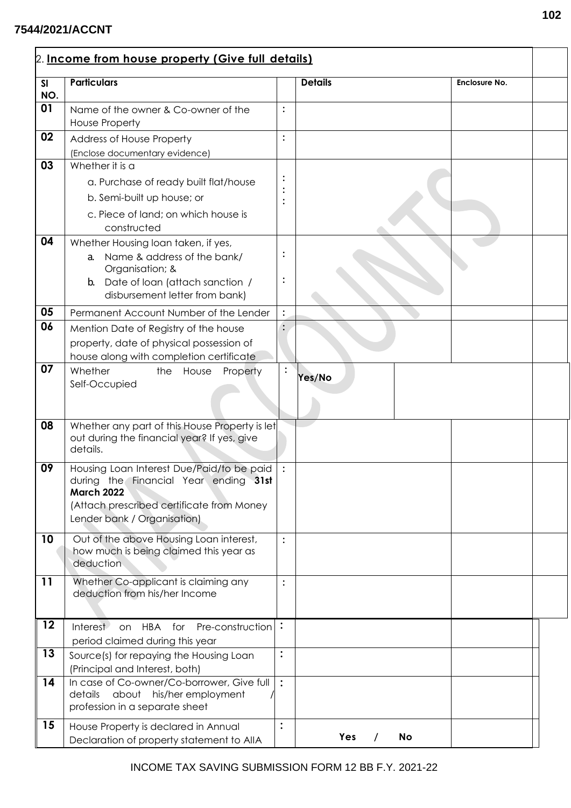## **7544/2021/ACCNT**

r

| SI  | <b>Particulars</b>                                                                 |                | <b>Details</b> | Enclosure No. |  |
|-----|------------------------------------------------------------------------------------|----------------|----------------|---------------|--|
| NO. |                                                                                    |                |                |               |  |
| 01  | Name of the owner & Co-owner of the                                                |                |                |               |  |
|     | <b>House Property</b>                                                              |                |                |               |  |
| 02  | Address of House Property                                                          |                |                |               |  |
|     | (Enclose documentary evidence)                                                     |                |                |               |  |
| 03  | Whether it is a                                                                    |                |                |               |  |
|     | a. Purchase of ready built flat/house                                              |                |                |               |  |
|     | b. Semi-built up house; or                                                         |                |                |               |  |
|     | c. Piece of land; on which house is                                                |                |                |               |  |
|     | constructed                                                                        |                |                |               |  |
| 04  | Whether Housing loan taken, if yes,                                                |                |                |               |  |
|     | a. Name & address of the bank/<br>Organisation; &                                  |                |                |               |  |
|     | <b>b.</b> Date of loan (attach sanction /                                          |                |                |               |  |
|     | disbursement letter from bank)                                                     |                |                |               |  |
| 05  | Permanent Account Number of the Lender                                             |                |                |               |  |
| 06  | Mention Date of Registry of the house                                              |                |                |               |  |
|     | property, date of physical possession of                                           |                |                |               |  |
|     | house along with completion certificate                                            |                |                |               |  |
| 07  | Whether<br>House<br>Property<br>the                                                |                |                |               |  |
|     | Self-Occupied                                                                      |                | Yes/No         |               |  |
|     |                                                                                    |                |                |               |  |
|     |                                                                                    |                |                |               |  |
| 08  | Whether any part of this House Property is let                                     |                |                |               |  |
|     | out during the financial year? If yes, give<br>details.                            |                |                |               |  |
|     |                                                                                    |                |                |               |  |
| 09  | Housing Loan Interest Due/Paid/to be paid<br>during the Financial Year ending 31st |                |                |               |  |
|     | <b>March 2022</b>                                                                  |                |                |               |  |
|     | (Attach prescribed certificate from Money                                          |                |                |               |  |
|     | Lender bank / Organisation)                                                        |                |                |               |  |
| 10  | Out of the above Housing Loan interest,                                            | $\vdots$       |                |               |  |
|     | how much is being claimed this year as                                             |                |                |               |  |
|     | deduction                                                                          |                |                |               |  |
| 11  | Whether Co-applicant is claiming any                                               | $\vdots$       |                |               |  |
|     | deduction from his/her Income                                                      |                |                |               |  |
|     |                                                                                    |                |                |               |  |
| 12  | Pre-construction :<br>Interest<br>on HBA for                                       |                |                |               |  |
|     | period claimed during this year                                                    |                |                |               |  |
| 13  | Source(s) for repaying the Housing Loan                                            | $\ddot{\cdot}$ |                |               |  |
|     | (Principal and Interest, both)                                                     |                |                |               |  |
| 14  | In case of Co-owner/Co-borrower, Give full<br>about his/her employment<br>details  | $\ddot{\cdot}$ |                |               |  |
|     | profession in a separate sheet                                                     |                |                |               |  |
|     |                                                                                    |                |                |               |  |
| 15  | House Property is declared in Annual                                               | :              |                |               |  |